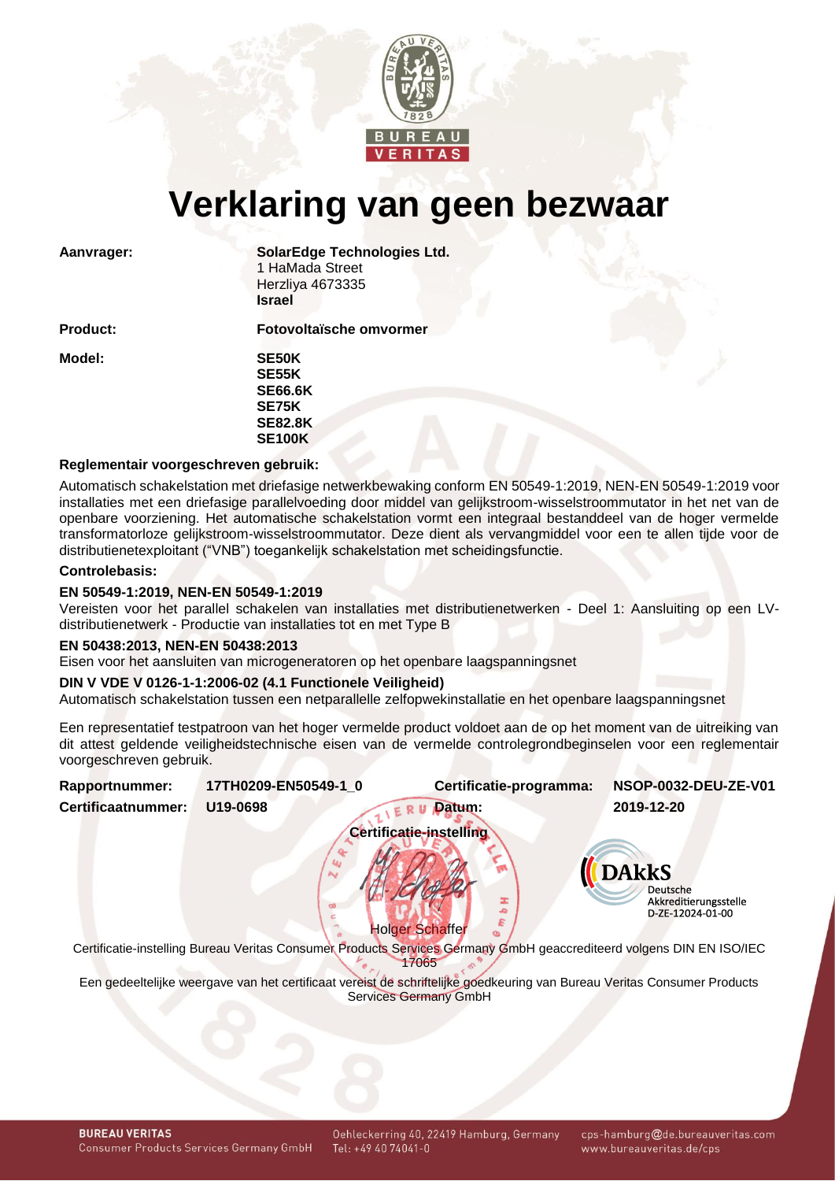

# **Verklaring van geen bezwaar**

Aanvrager: **SolarEdge Technologies Ltd.** 1 HaMada Street Herzliya 4673335 **Israel**

**Model: SE50K**

**Product: Fotovoltaïsche omvormer SE55K SE66.6K**

**SE75K SE82.8K SE100K**

# **Reglementair voorgeschreven gebruik:**

Automatisch schakelstation met driefasige netwerkbewaking conform EN 50549-1:2019, NEN-EN 50549-1:2019 voor installaties met een driefasige parallelvoeding door middel van gelijkstroom-wisselstroommutator in het net van de openbare voorziening. Het automatische schakelstation vormt een integraal bestanddeel van de hoger vermelde transformatorloze gelijkstroom-wisselstroommutator. Deze dient als vervangmiddel voor een te allen tijde voor de distributienetexploitant ("VNB") toegankelijk schakelstation met scheidingsfunctie.

#### **Controlebasis:**

## **EN 50549-1:2019, NEN-EN 50549-1:2019**

Vereisten voor het parallel schakelen van installaties met distributienetwerken - Deel 1: Aansluiting op een LVdistributienetwerk - Productie van installaties tot en met Type B

#### **EN 50438:2013, NEN-EN 50438:2013**

Eisen voor het aansluiten van microgeneratoren op het openbare laagspanningsnet

## **DIN V VDE V 0126-1-1:2006-02 (4.1 Functionele Veiligheid)**

Automatisch schakelstation tussen een netparallelle zelfopwekinstallatie en het openbare laagspanningsnet

Een representatief testpatroon van het hoger vermelde product voldoet aan de op het moment van de uitreiking van dit attest geldende veiligheidstechnische eisen van de vermelde controlegrondbeginselen voor een reglementair voorgeschreven gebruik.

<span id="page-0-1"></span><span id="page-0-0"></span>

| Rapportnummer:                 | 17TH0209-EN50549-1 0                                                                                                 | Certificatie-programma:     | NSOP-0032-DEU-ZE-V01                                                         |  |  |  |  |
|--------------------------------|----------------------------------------------------------------------------------------------------------------------|-----------------------------|------------------------------------------------------------------------------|--|--|--|--|
| Certificaatnummer:             | U19-0698                                                                                                             | Datum:                      | 2019-12-20                                                                   |  |  |  |  |
| <b>Certificatie-instelling</b> |                                                                                                                      |                             |                                                                              |  |  |  |  |
|                                |                                                                                                                      | 工<br><b>Holger Schaffer</b> | <b>DAKKS</b><br><b>Deutsche</b><br>Akkreditierungsstelle<br>D-ZE-12024-01-00 |  |  |  |  |
|                                | Certificatie-instelling Bureau Veritas Consumer Products Services Germany GmbH geaccrediteerd volgens DIN EN ISO/IEC |                             |                                                                              |  |  |  |  |
|                                |                                                                                                                      | 7065                        |                                                                              |  |  |  |  |

Een gedeeltelijke weergave van het certificaat vereist de schriftelijke goedkeuring van Bureau Veritas Consumer Products Services Germany GmbH

cps-hamburg@de.bureauveritas.com www.bureauveritas.de/cps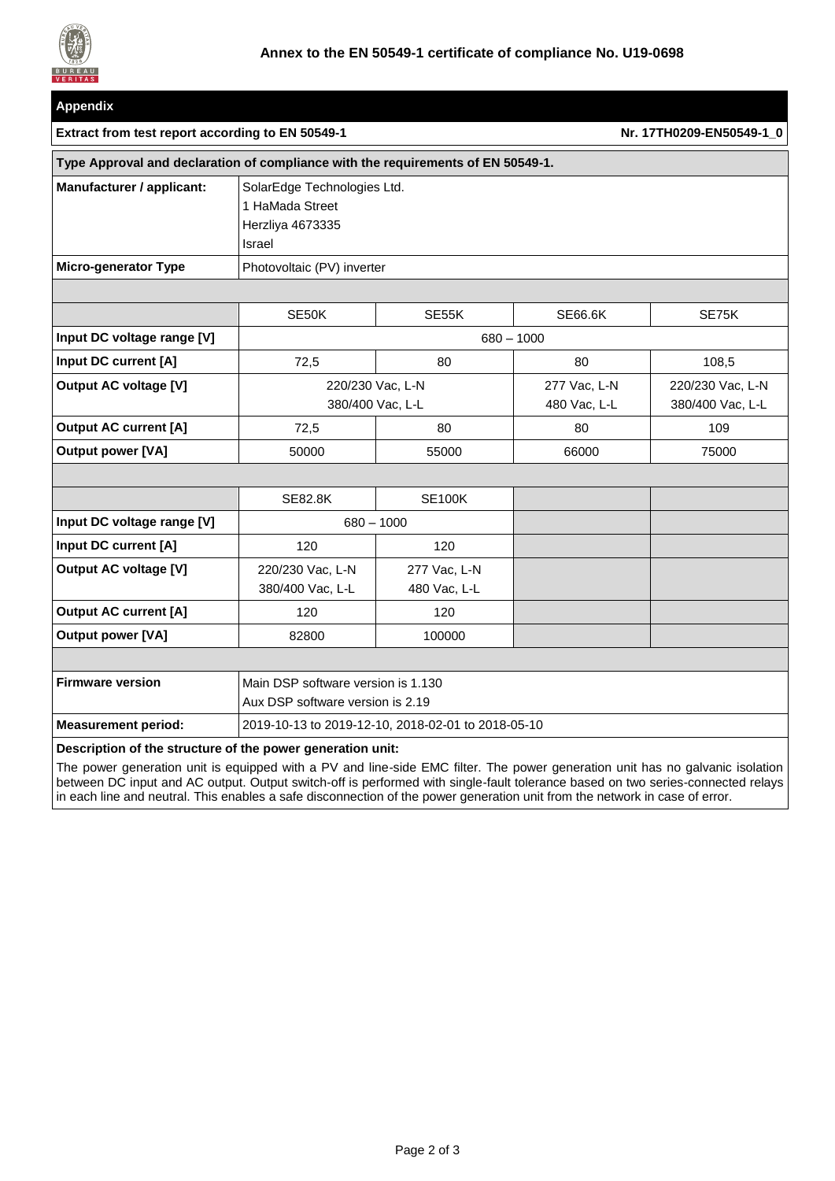

| <b>Appendix</b>                                                                  |                                                                              |                              |                              |                                      |  |  |
|----------------------------------------------------------------------------------|------------------------------------------------------------------------------|------------------------------|------------------------------|--------------------------------------|--|--|
| Extract from test report according to EN 50549-1                                 |                                                                              | Nr. 17TH0209-EN50549-1 0     |                              |                                      |  |  |
| Type Approval and declaration of compliance with the requirements of EN 50549-1. |                                                                              |                              |                              |                                      |  |  |
| Manufacturer / applicant:                                                        | SolarEdge Technologies Ltd.<br>1 HaMada Street<br>Herzliya 4673335<br>Israel |                              |                              |                                      |  |  |
| Micro-generator Type                                                             | Photovoltaic (PV) inverter                                                   |                              |                              |                                      |  |  |
|                                                                                  |                                                                              |                              |                              |                                      |  |  |
|                                                                                  | SE50K                                                                        | SE55K                        | <b>SE66.6K</b>               | SE75K                                |  |  |
| Input DC voltage range [V]                                                       | $680 - 1000$                                                                 |                              |                              |                                      |  |  |
| Input DC current [A]                                                             | 72,5                                                                         | 80                           | 80                           | 108,5                                |  |  |
| <b>Output AC voltage [V]</b>                                                     | 220/230 Vac, L-N<br>380/400 Vac, L-L                                         |                              | 277 Vac, L-N<br>480 Vac, L-L | 220/230 Vac, L-N<br>380/400 Vac, L-L |  |  |
| <b>Output AC current [A]</b>                                                     | 72,5                                                                         | 80                           | 80                           | 109                                  |  |  |
| <b>Output power [VA]</b>                                                         | 50000                                                                        | 55000                        | 66000                        | 75000                                |  |  |
|                                                                                  |                                                                              |                              |                              |                                      |  |  |
|                                                                                  | <b>SE82.8K</b>                                                               | <b>SE100K</b>                |                              |                                      |  |  |
| Input DC voltage range [V]                                                       | $680 - 1000$                                                                 |                              |                              |                                      |  |  |
| Input DC current [A]                                                             | 120                                                                          | 120                          |                              |                                      |  |  |
| <b>Output AC voltage [V]</b>                                                     | 220/230 Vac, L-N<br>380/400 Vac, L-L                                         | 277 Vac, L-N<br>480 Vac, L-L |                              |                                      |  |  |
| <b>Output AC current [A]</b>                                                     | 120                                                                          | 120                          |                              |                                      |  |  |
| <b>Output power [VA]</b>                                                         | 82800                                                                        | 100000                       |                              |                                      |  |  |
|                                                                                  |                                                                              |                              |                              |                                      |  |  |
| <b>Firmware version</b>                                                          | Main DSP software version is 1.130<br>Aux DSP software version is 2.19       |                              |                              |                                      |  |  |
| <b>Measurement period:</b>                                                       | 2019-10-13 to 2019-12-10, 2018-02-01 to 2018-05-10                           |                              |                              |                                      |  |  |
| Description of the structure of the power generation unit:                       |                                                                              |                              |                              |                                      |  |  |

The power generation unit is equipped with a PV and line-side EMC filter. The power generation unit has no galvanic isolation between DC input and AC output. Output switch-off is performed with single-fault tolerance based on two series-connected relays in each line and neutral. This enables a safe disconnection of the power generation unit from the network in case of error.